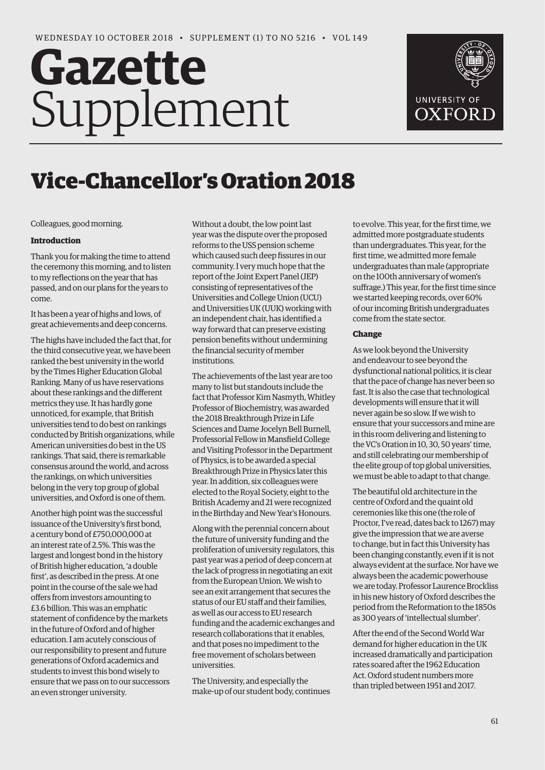# Gazette Supplement



## Vice-Chancellor's Oration 2018

Colleagues, good morning.

#### **Introduction**

Thank you for making the time to attend the ceremony this morning, and to listen to my reflections on the year that has passed, and on our plans for the years to come.

It has been a year of highs and lows, of great achievements and deep concerns.

The highs have included the fact that, for the third consecutive year, we have been ranked the best university in the world by the Times Higher Education Global Ranking. Many of us have reservations about these rankings and the different metrics they use. It has hardly gone unnoticed, for example, that British universities tend to do best on rankings conducted by British organizations, while American universities do best in the US rankings. That said, there is remarkable consensus around the world, and across the rankings, on which universities belong in the very top group of global universities, and Oxford is one of them.

Another high point was the successful issuance of the University's first bond, a century bond of £750,000,000 at an interest rate of 2.5%. This was the largest and longest bond in the history of British higher education, 'a double first', as described in the press. At one point in the course of the sale we had offers from investors amounting to £3.6 billion. This was an emphatic statement of confidence by the markets in the future of Oxford and of higher education. I am acutely conscious of our responsibility to present and future generations of Oxford academics and students to invest this bond wisely to ensure that we pass on to our successors an even stronger university.

Without a doubt, the low point last year was the dispute over the proposed reforms to the USS pension scheme which caused such deep fissures in our community. I very much hope that the report of the Joint Expert Panel (JEP) consisting of representatives of the Universities and College Union (UCU) and Universities UK (UUK) working with an independent chair, has identified a way forward that can preserve existing pension benefits without undermining the financial security of member institutions.

The achievements of the last year are too many to list but standouts include the fact that Professor Kim Nasmyth, Whitley Professor of Biochemistry, was awarded the 2018 Breakthrough Prize in Life Sciences and Dame Jocelyn Bell Burnell, Professorial Fellow in Mansfield College and Visiting Professor in the Department of Physics, is to be awarded a special Breakthrough Prize in Physics later this year. In addition, six colleagues were elected to the Royal Society, eight to the British Academy and 21 were recognized in the Birthday and New Year's Honours.

Along with the perennial concern about the future of university funding and the proliferation of university regulators, this past year was a period of deep concern at the lack of progress in negotiating an exit from the European Union. We wish to see an exit arrangement that secures the status of our EU staff and their families, as well as our access to EU research funding and the academic exchanges and research collaborations that it enables, and that poses no impediment to the free movement of scholars between universities.

The University, and especially the make-up of our student body, continues to evolve. This year, for the first time, we admitted more postgraduate students than undergraduates. This year, for the first time, we admitted more female undergraduates than male (appropriate on the 100th anniversary of women's suffrage.) This year, for the first time since we started keeping records, over 60% of our incoming British undergraduates come from the state sector.

#### **Change**

As we look beyond the University and endeavour to see beyond the dysfunctional national politics, it is clear that the pace of change has never been so fast. It is also the case that technological developments will ensure that it will never again be so slow. If we wish to ensure that your successors and mine are in this room delivering and listening to the VC's Oration in 10, 30, 50 years' time, and still celebrating our membership of the elite group of top global universities, we must be able to adapt to that change.

The beautiful old architecture in the centre of Oxford and the quaint old ceremonies like this one (the role of Proctor, I've read, dates back to 1267) may give the impression that we are averse to change, but in fact this University has been changing constantly, even if it is not always evident at the surface. Nor have we always been the academic powerhouse we are today. Professor Laurence Brockliss in his new history of Oxford describes the period from the Reformation to the 1850s as 300 years of 'intellectual slumber'.

After the end of the Second World War demand for higher education in the UK increased dramatically and participation rates soared after the 1962 Education Act. Oxford student numbers more than tripled between 1951 and 2017.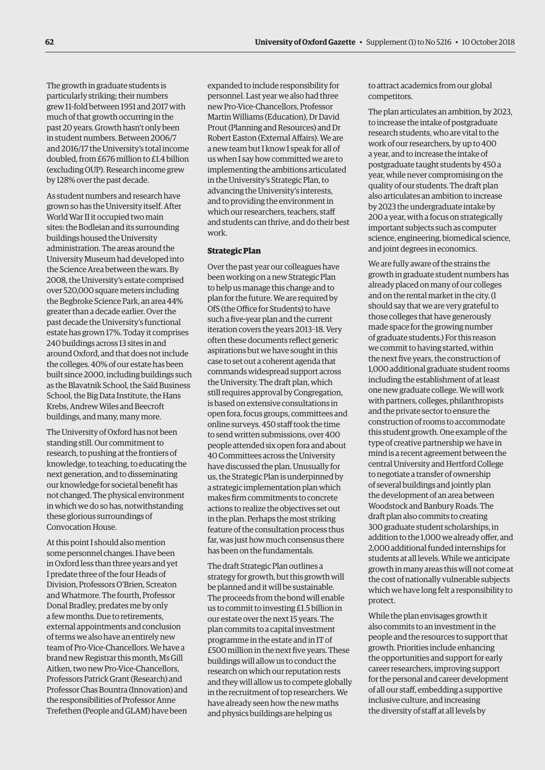The growth in graduate students is particularly striking; their numbers grew 11-fold between 1951 and 2017 with much of that growth occurring in the past 20 years. Growth hasn't only been in student numbers. Between 2006/7 and 2016/17 the University's total income doubled, from £676 million to £1.4 billion (excluding OUP). Research income grew by 128% over the past decade.

As student numbers and research have grown so has the University itself. After World War II it occupied two main sites: the Bodleian and its surrounding buildings housed the University administration. The areas around the University Museum had developed into the Science Area between the wars. By 2008, the University's estate comprised over 520,000 square meters including the Begbroke Science Park, an area 44% greater than a decade earlier. Over the past decade the University's functional estate has grown 17%. Today it comprises 240 buildings across 13 sites in and around Oxford, and that does not include the colleges. 40% of our estate has been built since 2000, including buildings such as the Blavatnik School, the Saïd Business School, the Big Data Institute, the Hans Krebs, Andrew Wiles and Beecroft buildings, and many, many more.

The University of Oxford has not been standing still. Our commitment to research, to pushing at the frontiers of knowledge, to teaching, to educating the next generation, and to disseminating our knowledge for societal benefit has not changed. The physical environment in which we do so has, notwithstanding these glorious surroundings of Convocation House.

At this point I should also mention some personnel changes. I have been in Oxford less than three years and yet I predate three of the four Heads of Division, Professors O'Brien, Screaton and Whatmore. The fourth, Professor Donal Bradley, predates me by only a few months. Due to retirements, external appointments and conclusion of terms we also have an entirely new team of Pro-Vice-Chancellors. We have a brand new Registrar this month, Ms Gill Aitken, two new Pro-Vice-Chancellors, Professors Patrick Grant (Research) and Professor Chas Bountra (Innovation) and the responsibilities of Professor Anne Trefethen (People and GLAM) have been

expanded to include responsibility for personnel. Last year we also had three new Pro-Vice-Chancellors, Professor Martin Williams (Education), Dr David Prout (Planning and Resources) and Dr Robert Easton (External Affairs). We are a new team but I know I speak for all of us when I say how committed we are to implementing the ambitions articulated in the University's Strategic Plan, to advancing the University's interests, and to providing the environment in which our researchers, teachers, staff and students can thrive, and do their best work.

#### **Strategic Plan**

Over the past year our colleagues have been working on a new Strategic Plan to help us manage this change and to plan for the future. We are required by OfS (the Office for Students) to have such a five-year plan and the current iteration covers the years 2013–18. Very often these documents reflect generic aspirations but we have sought in this case to set out a coherent agenda that commands widespread support across the University. The draft plan, which still requires approval by Congregation, is based on extensive consultations in open fora, focus groups, committees and online surveys. 450 staff took the time to send written submissions, over 400 people attended six open fora and about 40 Committees across the University have discussed the plan. Unusually for us, the Strategic Plan is underpinned by a strategic implementation plan which makes firm commitments to concrete actions to realize the objectives set out in the plan. Perhaps the most striking feature of the consultation process thus far, was just how much consensus there has been on the fundamentals.

The draft Strategic Plan outlines a strategy for growth, but this growth will be planned and it will be sustainable. The proceeds from the bond will enable us to commit to investing £1.5 billion in our estate over the next 15 years. The plan commits to a capital investment programme in the estate and in IT of £500 million in the next five years. These buildings will allow us to conduct the research on which our reputation rests and they will allow us to compete globally in the recruitment of top researchers. We have already seen how the new maths and physics buildings are helping us

to attract academics from our global competitors.

The plan articulates an ambition, by 2023, to increase the intake of postgraduate research students, who are vital to the work of our researchers, by up to 400 a year, and to increase the intake of postgraduate taught students by 450 a year, while never compromising on the quality of our students. The draft plan also articulates an ambition to increase by 2023 the undergraduate intake by 200 a year, with a focus on strategically important subjects such as computer science, engineering, biomedical science, and joint degrees in economics.

We are fully aware of the strains the growth in graduate student numbers has already placed on many of our colleges and on the rental market in the city. (I should say that we are very grateful to those colleges that have generously made space for the growing number of graduate students.) For this reason we commit to having started, within the next five years, the construction of 1,000 additional graduate student rooms including the establishment of at least one new graduate college. We will work with partners, colleges, philanthropists and the private sector to ensure the construction of rooms to accommodate this student growth. One example of the type of creative partnership we have in mind is a recent agreement between the central University and Hertford College to negotiate a transfer of ownership of several buildings and jointly plan the development of an area between Woodstock and Banbury Roads. The draft plan also commits to creating 300 graduate student scholarships, in addition to the 1,000 we already offer, and 2,000 additional funded internships for students at all levels. While we anticipate growth in many areas this will not come at the cost of nationally vulnerable subjects which we have long felt a responsibility to protect.

While the plan envisages growth it also commits to an investment in the people and the resources to support that growth. Priorities include enhancing the opportunities and support for early career researchers, improving support for the personal and career development of all our staff, embedding a supportive inclusive culture, and increasing the diversity of staff at all levels by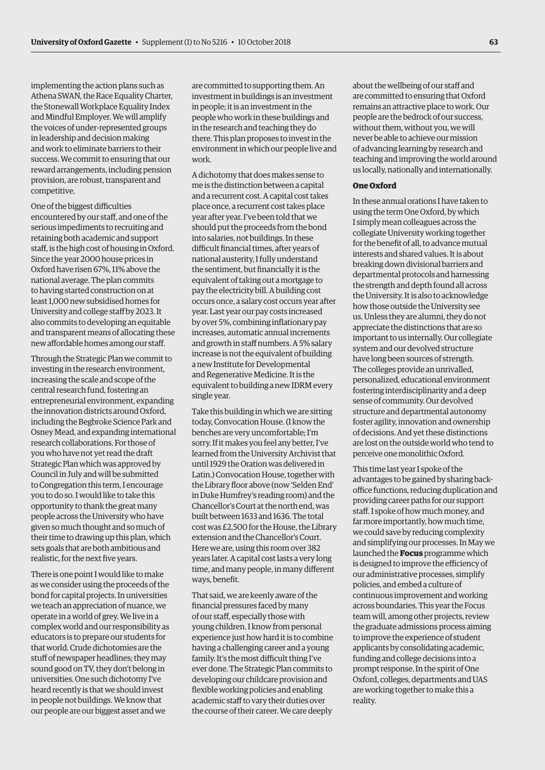implementing the action plans such as Athena SWAN, the Race Equality Charter, the Stonewall Workplace Equality Index and Mindful Employer. We will amplify the voices of under-represented groups in leadership and decision making and work to eliminate barriers to their success. We commit to ensuring that our reward arrangements, including pension provision, are robust, transparent and competitive.

One of the biggest difficulties encountered by our staff, and one of the serious impediments to recruiting and retaining both academic and support staff, is the high cost of housing in Oxford. Since the year 2000 house prices in Oxford have risen 67%, 11% above the national average. The plan commits to having started construction on at least 1,000 new subsidised homes for University and college staff by 2023. It also commits to developing an equitable and transparent means of allocating these new affordable homes among our staff.

Through the Strategic Plan we commit to investing in the research environment, increasing the scale and scope of the central research fund, fostering an entrepreneurial environment, expanding the innovation districts around Oxford, including the Begbroke Science Park and Osney Mead, and expanding international research collaborations. For those of you who have not yet read the draft Strategic Plan which was approved by Council in July and will be submitted to Congregation this term, I encourage you to do so. I would like to take this opportunity to thank the great many people across the University who have given so much thought and so much of their time to drawing up this plan, which sets goals that are both ambitious and realistic, for the next five years.

There is one point I would like to make as we consider using the proceeds of the bond for capital projects. In universities we teach an appreciation of nuance, we operate in a world of grey. We live in a complex world and our responsibility as educators is to prepare our students for that world. Crude dichotomies are the stuff of newspaper headlines; they may sound good on TV, they don't belong in universities. One such dichotomy I've heard recently is that we should invest in people not buildings. We know that our people are our biggest asset and we

are committed to supporting them. An investment in buildings is an investment in people; it is an investment in the people who work in these buildings and in the research and teaching they do there. This plan proposes to invest in the environment in which our people live and work.

A dichotomy that does makes sense to me is the distinction between a capital and a recurrent cost. A capital cost takes place once, a recurrent cost takes place year after year. I've been told that we should put the proceeds from the bond into salaries, not buildings. In these difficult financial times, after years of national austerity, I fully understand the sentiment, but financially it is the equivalent of taking out a mortgage to pay the electricity bill. A building cost occurs once, a salary cost occurs year after year. Last year our pay costs increased by over 5%, combining inflationary pay increases, automatic annual increments and growth in staff numbers. A 5% salary increase is not the equivalent of building a new Institute for Developmental and Regenerative Medicine. It is the equivalent to building a new IDRM every single year.

Take this building in which we are sitting today, Convocation House. (I know the benches are very uncomfortable; I'm sorry. If it makes you feel any better, I've learned from the University Archivist that until 1929 the Oration was delivered in Latin.) Convocation House, together with the Library floor above (now 'Selden End' in Duke Humfrey's reading room) and the Chancellor's Court at the north end, was built between 1633 and 1636. The total cost was £2,500 for the House, the Library extension and the Chancellor's Court. Here we are, using this room over 382 years later. A capital cost lasts a very long time, and many people, in many different ways, benefit.

That said, we are keenly aware of the financial pressures faced by many of our staff, especially those with young children. I know from personal experience just how hard it is to combine having a challenging career and a young family. It's the most difficult thing I've ever done. The Strategic Plan commits to developing our childcare provision and flexible working policies and enabling academic staff to vary their duties over the course of their career. We care deeply

about the wellbeing of our staff and are committed to ensuring that Oxford remains an attractive place to work. Our people are the bedrock of our success, without them, without you, we will never be able to achieve our mission of advancing learning by research and teaching and improving the world around us locally, nationally and internationally.

#### **One Oxford**

In these annual orations I have taken to using the term One Oxford, by which I simply mean colleagues across the collegiate University working together for the benefit of all, to advance mutual interests and shared values. It is about breaking down divisional barriers and departmental protocols and harnessing the strength and depth found all across the University. It is also to acknowledge how those outside the University see us. Unless they are alumni, they do not appreciate the distinctions that are so important to us internally. Our collegiate system and our devolved structure have long been sources of strength. The colleges provide an unrivalled, personalized, educational environment fostering interdisciplinarity and a deep sense of community. Our devolved structure and departmental autonomy foster agility, innovation and ownership of decisions. And yet these distinctions are lost on the outside world who tend to perceive one monolithic Oxford.

This time last year I spoke of the advantages to be gained by sharing backoffice functions, reducing duplication and providing career paths for our support staff. I spoke of how much money, and far more importantly, how much time, we could save by reducing complexity and simplifying our processes. In May we launched the **Focus** programme which is designed to improve the efficiency of our administrative processes, simplify policies, and embed a culture of continuous improvement and working across boundaries. This year the Focus team will, among other projects, review the graduate admissions process aiming to improve the experience of student applicants by consolidating academic, funding and college decisions into a prompt response. In the spirit of One Oxford, colleges, departments and UAS are working together to make this a reality.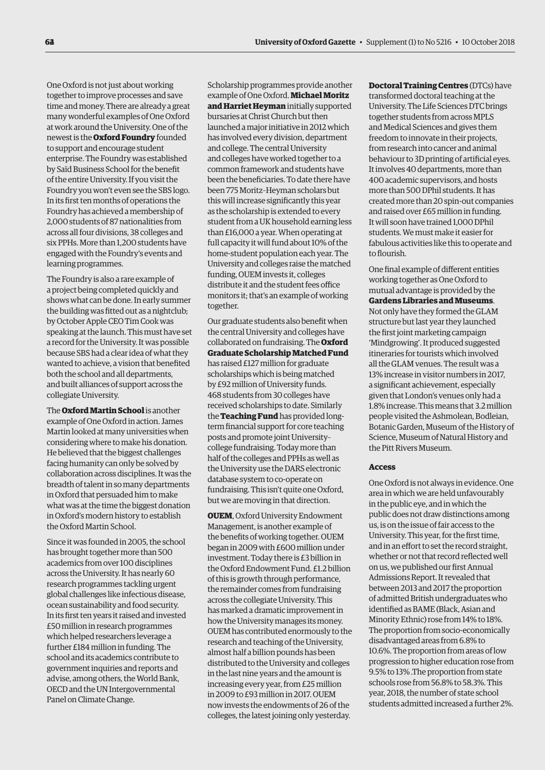One Oxford is not just about working together to improve processes and save time and money. There are already a great many wonderful examples of One Oxford at work around the University. One of the newest is the **Oxford Foundry** founded to support and encourage student enterprise. The Foundry was established by Saïd Business School for the benefit of the entire University. If you visit the Foundry you won't even see the SBS logo. In its first ten months of operations the Foundry has achieved a membership of 2,000 students of 87 nationalities from across all four divisions, 38 colleges and six PPHs. More than 1,200 students have engaged with the Foundry's events and learning programmes.

The Foundry is also a rare example of a project being completed quickly and shows what can be done. In early summer the building was fitted out as a nightclub; by October Apple CEO Tim Cook was speaking at the launch. This must have set a record for the University. It was possible because SBS had a clear idea of what they wanted to achieve, a vision that benefited both the school and all departments, and built alliances of support across the collegiate University.

The **Oxford Martin School** is another example of One Oxford in action. James Martin looked at many universities when considering where to make his donation. He believed that the biggest challenges facing humanity can only be solved by collaboration across disciplines. It was the breadth of talent in so many departments in Oxford that persuaded him to make what was at the time the biggest donation in Oxford's modern history to establish the Oxford Martin School.

Since it was founded in 2005, the school has brought together more than 500 academics from over 100 disciplines across the University. It has nearly 60 research programmes tackling urgent global challenges like infectious disease, ocean sustainability and food security. In its first ten years it raised and invested £50 million in research programmes which helped researchers leverage a further £184 million in funding. The school and its academics contribute to government inquiries and reports and advise, among others, the World Bank, OECD and the UN Intergovernmental Panel on Climate Change.

Scholarship programmes provide another example of One Oxford. **Michael Moritz and Harriet Heyman** initially supported bursaries at Christ Church but then launched a major initiative in 2012 which has involved every division, department and college. The central University and colleges have worked together to a common framework and students have been the beneficiaries. To date there have been 775 Moritz–Heyman scholars but this will increase significantly this year as the scholarship is extended to every student from a UK household earning less than £16,000 a year. When operating at full capacity it will fund about 10% of the home-student population each year. The University and colleges raise the matched funding, OUEM invests it, colleges distribute it and the student fees office monitors it; that's an example of working together.

Our graduate students also benefit when the central University and colleges have collaborated on fundraising. The **Oxford Graduate Scholarship Matched Fund** has raised £127 million for graduate scholarships which is being matched by £92 million of University funds. 468 students from 30 colleges have received scholarships to date. Similarly the **Teaching Fund** has provided longterm financial support for core teaching posts and promote joint University– college fundraising. Today more than half of the colleges and PPHs as well as the University use the DARS electronic database system to co-operate on fundraising. This isn't quite one Oxford, but we are moving in that direction.

**OUEM**, Oxford University Endowment Management, is another example of the benefits of working together. OUEM began in 2009 with £600 million under investment. Today there is £3 billion in the Oxford Endowment Fund. £1.2 billion of this is growth through performance, the remainder comes from fundraising across the collegiate University. This has marked a dramatic improvement in how the University manages its money. OUEM has contributed enormously to the research and teaching of the University, almost half a billion pounds has been distributed to the University and colleges in the last nine years and the amount is increasing every year, from £25 million in  $2009$  to  $f93$  million in  $2017$  OUEM now invests the endowments of 26 of the colleges, the latest joining only yesterday.

**Doctoral Training Centres** (DTCs) have transformed doctoral teaching at the University. The Life Sciences DTC brings together students from across MPLS and Medical Sciences and gives them freedom to innovate in their projects, from research into cancer and animal behaviour to 3D printing of artificial eyes. It involves 40 departments, more than 400 academic supervisors, and hosts more than 500 DPhil students. It has created more than 20 spin-out companies and raised over £65 million in funding. It will soon have trained 1,000 DPhil students. We must make it easier for fabulous activities like this to operate and to flourish.

One final example of different entities working together as One Oxford to mutual advantage is provided by the **Gardens Libraries and Museums**. Not only have they formed the GLAM structure but last year they launched the first joint marketing campaign 'Mindgrowing'. It produced suggested itineraries for tourists which involved all the GLAM venues. The result was a 13% increase in visitor numbers in 2017, a significant achievement, especially given that London's venues only had a 1.8% increase. This means that 3.2 million people visited the Ashmolean, Bodleian, Botanic Garden, Museum of the History of Science, Museum of Natural History and the Pitt Rivers Museum.

#### **Access**

One Oxford is not always in evidence. One area in which we are held unfavourably in the public eye, and in which the public does not draw distinctions among us, is on the issue of fair access to the University. This year, for the first time, and in an effort to set the record straight, whether or not that record reflected well on us, we published our first Annual Admissions Report. It revealed that between 2013 and 2017 the proportion of admitted British undergraduates who identified as BAME (Black, Asian and Minority Ethnic) rose from 14% to 18%. The proportion from socio-economically disadvantaged areas from 6.8% to 10.6%. The proportion from areas of low progression to higher education rose from 9.5% to 13% .The proportion from state schools rose from 56.8% to 58.3%. This year, 2018, the number of state school students admitted increased a further 2%.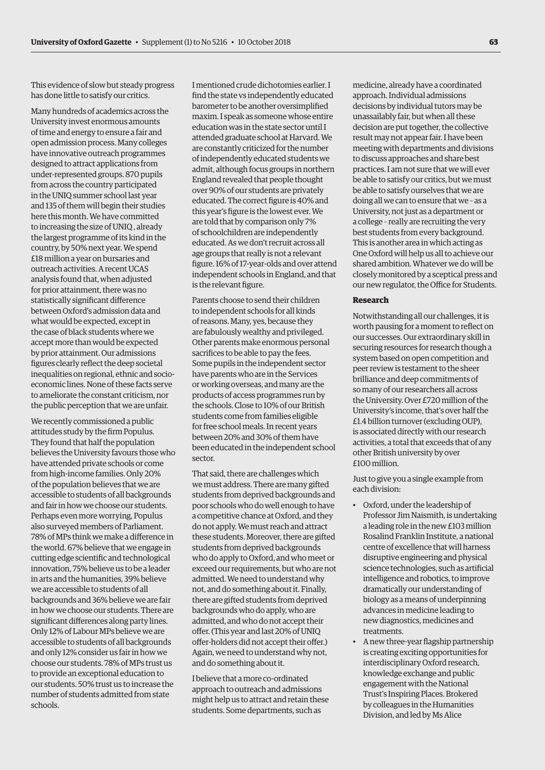This evidence of slow but steady progress has done little to satisfy our critics.

Many hundreds of academics across the University invest enormous amounts of time and energy to ensure a fair and open admission process. Many colleges have innovative outreach programmes designed to attract applications from under-represented groups. 870 pupils from across the country participated in the UNIQ summer school last year and 135 of them will begin their studies here this month. We have committed to increasing the size of UNIQ , already the largest programme of its kind in the country, by 50% next year. We spend £18 million a year on bursaries and outreach activities. A recent UCAS analysis found that, when adjusted for prior attainment, there was no statistically significant difference between Oxford's admission data and what would be expected, except in the case of black students where we accept more than would be expected by prior attainment. Our admissions figures clearly reflect the deep societal inequalities on regional, ethnic and socioeconomic lines. None of these facts serve to ameliorate the constant criticism, nor the public perception that we are unfair.

We recently commissioned a public attitudes study by the firm Populus. They found that half the population believes the University favours those who have attended private schools or come from high-income families. Only 20% of the population believes that we are accessible to students of all backgrounds and fair in how we choose our students. Perhaps even more worrying, Populus also surveyed members of Parliament. 78% of MPs think we make a difference in the world. 67% believe that we engage in cutting edge scientific and technological innovation, 75% believe us to be a leader in arts and the humanities, 39% believe we are accessible to students of all backgrounds and 36% believe we are fair in how we choose our students. There are significant differences along party lines. Only 12% of Labour MPs believe we are accessible to students of all backgrounds and only 12% consider us fair in how we choose our students. 78% of MPs trust us to provide an exceptional education to our students. 50% trust us to increase the number of students admitted from state schools.

I mentioned crude dichotomies earlier. I find the state vs independently educated barometer to be another oversimplified maxim. I speak as someone whose entire education was in the state sector until I attended graduate school at Harvard. We are constantly criticized for the number of independently educated students we admit, although focus groups in northern England revealed that people thought over 90% of our students are privately educated. The correct figure is 40% and this year's figure is the lowest ever. We are told that by comparison only 7% of schoolchildren are independently educated. As we don't recruit across all age groups that really is not a relevant figure. 16% of 17-year-olds and over attend independent schools in England, and that is the relevant figure.

Parents choose to send their children to independent schools for all kinds of reasons. Many, yes, because they are fabulously wealthy and privileged. Other parents make enormous personal sacrifices to be able to pay the fees. Some pupils in the independent sector have parents who are in the Services or working overseas, and many are the products of access programmes run by the schools. Close to 10% of our British students come from families eligible for free school meals. In recent years between 20% and 30% of them have been educated in the independent school sector.

That said, there are challenges which we must address. There are many gifted students from deprived backgrounds and poor schools who do well enough to have a competitive chance at Oxford, and they do not apply. We must reach and attract these students. Moreover, there are gifted students from deprived backgrounds who do apply to Oxford, and who meet or exceed our requirements, but who are not admitted. We need to understand why not, and do something about it. Finally, there are gifted students from deprived backgrounds who do apply, who are admitted, and who do not accept their offer. (This year and last 20% of UNIQ offer-holders did not accept their offer.) Again, we need to understand why not, and do something about it.

I believe that a more co-ordinated approach to outreach and admissions might help us to attract and retain these students. Some departments, such as

medicine, already have a coordinated approach. Individual admissions decisions by individual tutors may be unassailably fair, but when all these decision are put together, the collective result may not appear fair. I have been meeting with departments and divisions to discuss approaches and share best practices. I am not sure that we will ever be able to satisfy our critics, but we must be able to satisfy ourselves that we are doing all we can to ensure that we – as a University, not just as a department or a college – really are recruiting the very best students from every background. This is another area in which acting as One Oxford will help us all to achieve our shared ambition. Whatever we do will be closely monitored by a sceptical press and our new regulator, the Office for Students.

#### **Research**

Notwithstanding all our challenges, it is worth pausing for a moment to reflect on our successes. Our extraordinary skill in securing resources for research though a system based on open competition and peer review is testament to the sheer brilliance and deep commitments of so many of our researchers all across the University. Over £720 million of the University's income, that's over half the £1.4 billion turnover (excluding OUP), is associated directly with our research activities, a total that exceeds that of any other British university by over £100 million.

Just to give you a single example from each division:

- Oxford, under the leadership of Professor Jim Naismith, is undertaking a leading role in the new £103 million Rosalind Franklin Institute, a national centre of excellence that will harness disruptive engineering and physical science technologies, such as artificial intelligence and robotics, to improve dramatically our understanding of biology as a means of underpinning advances in medicine leading to new diagnostics, medicines and treatments.
- A new three-year flagship partnership is creating exciting opportunities for interdisciplinary Oxford research, knowledge exchange and public engagement with the National Trust's Inspiring Places. Brokered by colleagues in the Humanities Division, and led by Ms Alice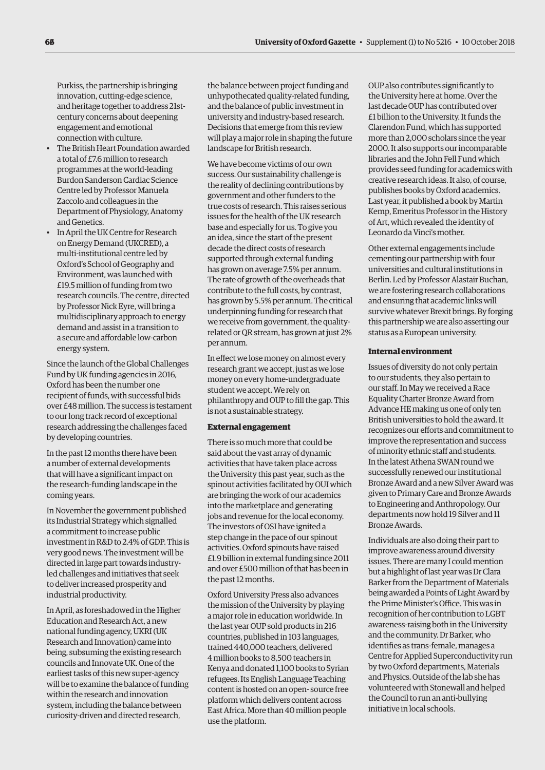Purkiss, the partnership is bringing innovation, cutting-edge science, and heritage together to address 21stcentury concerns about deepening engagement and emotional connection with culture.

- The British Heart Foundation awarded a total of £7.6 million to research programmes at the world-leading Burdon Sanderson Cardiac Science Centre led by Professor Manuela Zaccolo and colleagues in the Department of Physiology, Anatomy and Genetics.
- In April the UK Centre for Research on Energy Demand (UKCRED), a multi-institutional centre led by Oxford's School of Geography and Environment, was launched with £19.5 million of funding from two research councils. The centre, directed by Professor Nick Eyre, will bring a multidisciplinary approach to energy demand and assist in a transition to a secure and affordable low-carbon energy system.

Since the launch of the Global Challenges Fund by UK funding agencies in 2016, Oxford has been the number one recipient of funds, with successful bids over £48 million. The success is testament to our long track record of exceptional research addressing the challenges faced by developing countries.

In the past 12 months there have been a number of external developments that will have a significant impact on the research-funding landscape in the coming years.

In November the government published its Industrial Strategy which signalled a commitment to increase public investment in R&D to 2.4% of GDP. This is very good news. The investment will be directed in large part towards industryled challenges and initiatives that seek to deliver increased prosperity and industrial productivity.

In April, as foreshadowed in the Higher Education and Research Act, a new national funding agency, UKRI (UK Research and Innovation) came into being, subsuming the existing research councils and Innovate UK. One of the earliest tasks of this new super-agency will be to examine the balance of funding within the research and innovation system, including the balance between curiosity-driven and directed research,

the balance between project funding and unhypothecated quality-related funding, and the balance of public investment in university and industry-based research. Decisions that emerge from this review will play a major role in shaping the future landscape for British research.

We have become victims of our own success. Our sustainability challenge is the reality of declining contributions by government and other funders to the true costs of research. This raises serious issues for the health of the UK research base and especially for us. To give you an idea, since the start of the present decade the direct costs of research supported through external funding has grown on average 7.5% per annum. The rate of growth of the overheads that contribute to the full costs, by contrast, has grown by 5.5% per annum. The critical underpinning funding for research that we receive from government, the qualityrelated or QR stream, has grown at just 2% per annum.

In effect we lose money on almost every research grant we accept, just as we lose money on every home-undergraduate student we accept. We rely on philanthropy and OUP to fill the gap. This is not a sustainable strategy.

#### **External engagement**

There is so much more that could be said about the vast array of dynamic activities that have taken place across the University this past year, such as the spinout activities facilitated by OUI which are bringing the work of our academics into the marketplace and generating jobs and revenue for the local economy. The investors of OSI have ignited a step change in the pace of our spinout activities. Oxford spinouts have raised £1.9 billion in external funding since 2011 and over £500 million of that has been in the past 12 months.

Oxford University Press also advances the mission of the University by playing a major role in education worldwide. In the last year OUP sold products in 216 countries, published in 103 languages, trained 440,000 teachers, delivered 4 million books to 8,500 teachers in Kenya and donated 1,100 books to Syrian refugees. Its English Language Teaching content is hosted on an open- source free platform which delivers content across East Africa. More than 40 million people use the platform.

OUP also contributes significantly to the University here at home. Over the last decade OUP has contributed over £1 billion to the University. It funds the Clarendon Fund, which has supported more than 2,000 scholars since the year 2000. It also supports our incomparable libraries and the John Fell Fund which provides seed funding for academics with creative research ideas. It also, of course, publishes books by Oxford academics. Last year, it published a book by Martin Kemp, Emeritus Professor in the History of Art, which revealed the identity of Leonardo da Vinci's mother.

Other external engagements include cementing our partnership with four universities and cultural institutions in Berlin. Led by Professor Alastair Buchan, we are fostering research collaborations and ensuring that academic links will survive whatever Brexit brings. By forging this partnership we are also asserting our status as a European university.

#### **Internal environment**

Issues of diversity do not only pertain to our students, they also pertain to our staff. In May we received a Race Equality Charter Bronze Award from Advance HE making us one of only ten British universities to hold the award. It recognizes our efforts and commitment to improve the representation and success of minority ethnic staff and students. In the latest Athena SWAN round we successfully renewed our institutional Bronze Award and a new Silver Award was given to Primary Care and Bronze Awards to Engineering and Anthropology. Our departments now hold 19 Silver and 11 Bronze Awards.

Individuals are also doing their part to improve awareness around diversity issues. There are many I could mention but a highlight of last year was Dr Clara Barker from the Department of Materials being awarded a Points of Light Award by the Prime Minister's Office. This was in recognition of her contribution to LGBT awareness-raising both in the University and the community. Dr Barker, who identifies as trans-female, manages a Centre for Applied Superconductivity run by two Oxford departments, Materials and Physics. Outside of the lab she has volunteered with Stonewall and helped the Council to run an anti-bullying initiative in local schools.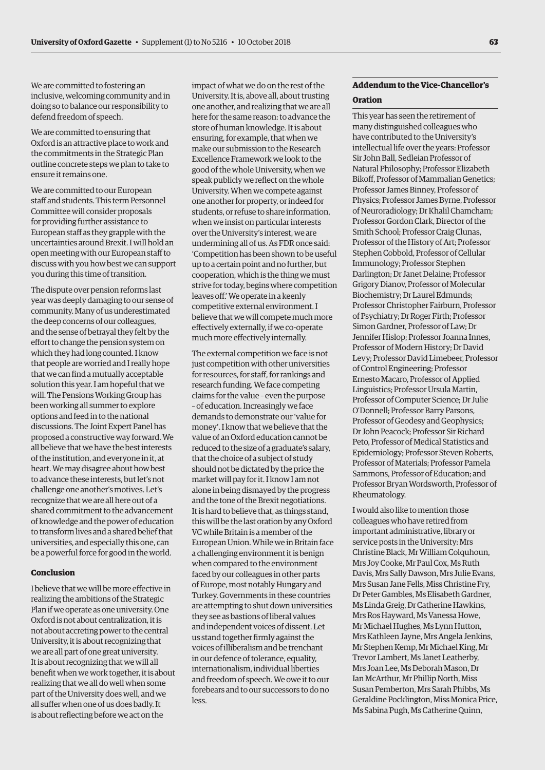We are committed to fostering an inclusive, welcoming community and in doing so to balance our responsibility to defend freedom of speech.

We are committed to ensuring that Oxford is an attractive place to work and the commitments in the Strategic Plan outline concrete steps we plan to take to ensure it remains one.

We are committed to our European staff and students. This term Personnel Committee will consider proposals for providing further assistance to European staff as they grapple with the uncertainties around Brexit. I will hold an open meeting with our European staff to discuss with you how best we can support you during this time of transition.

The dispute over pension reforms last year was deeply damaging to our sense of community. Many of us underestimated the deep concerns of our colleagues, and the sense of betrayal they felt by the effort to change the pension system on which they had long counted. I know that people are worried and I really hope that we can find a mutually acceptable solution this year. I am hopeful that we will. The Pensions Working Group has been working all summer to explore options and feed in to the national discussions. The Joint Expert Panel has proposed a constructive way forward. We all believe that we have the best interests of the institution, and everyone in it, at heart. We may disagree about how best to advance these interests, but let's not challenge one another's motives. Let's recognize that we are all here out of a shared commitment to the advancement of knowledge and the power of education to transform lives and a shared belief that universities, and especially this one, can be a powerful force for good in the world.

#### **Conclusion**

I believe that we will be more effective in realizing the ambitions of the Strategic Plan if we operate as one university. One Oxford is not about centralization, it is not about accreting power to the central University, it is about recognizing that we are all part of one great university. It is about recognizing that we will all benefit when we work together, it is about realizing that we all do well when some part of the University does well, and we all suffer when one of us does badly. It is about reflecting before we act on the

impact of what we do on the rest of the University. It is, above all, about trusting one another, and realizing that we are all here for the same reason: to advance the store of human knowledge. It is about ensuring, for example, that when we make our submission to the Research Excellence Framework we look to the good of the whole University, when we speak publicly we reflect on the whole University. When we compete against one another for property, or indeed for students, or refuse to share information, when we insist on particular interests over the University's interest, we are undermining all of us. As FDR once said: 'Competition has been shown to be useful up to a certain point and no further, but cooperation, which is the thing we must strive for today, begins where competition leaves off.' We operate in a keenly competitive external environment. I believe that we will compete much more effectively externally, if we co-operate much more effectively internally.

The external competition we face is not just competition with other universities for resources, for staff, for rankings and research funding. We face competing claims for the value – even the purpose – of education. Increasingly we face demands to demonstrate our 'value for money'. I know that we believe that the value of an Oxford education cannot be reduced to the size of a graduate's salary, that the choice of a subject of study should not be dictated by the price the market will pay for it. I know I am not alone in being dismayed by the progress and the tone of the Brexit negotiations. It is hard to believe that, as things stand, this will be the last oration by any Oxford VC while Britain is a member of the European Union. While we in Britain face a challenging environment it is benign when compared to the environment faced by our colleagues in other parts of Europe, most notably Hungary and Turkey. Governments in these countries are attempting to shut down universities they see as bastions of liberal values and independent voices of dissent. Let us stand together firmly against the voices of illiberalism and be trenchant in our defence of tolerance, equality, internationalism, individual liberties and freedom of speech. We owe it to our forebears and to our successors to do no less.

### **Addendum to the Vice-Chancellor's**

#### **Oration**

This year has seen the retirement of many distinguished colleagues who have contributed to the University's intellectual life over the years: Professor Sir John Ball, Sedleian Professor of Natural Philosophy; Professor Elizabeth Bikoff, Professor of Mammalian Genetics; Professor James Binney, Professor of Physics; Professor James Byrne, Professor of Neuroradiology; Dr Khalil Chamcham; Professor Gordon Clark, Director of the Smith School; Professor Craig Clunas, Professor of the History of Art; Professor Stephen Cobbold, Professor of Cellular Immunology; Professor Stephen Darlington; Dr Janet Delaine; Professor Grigory Dianov, Professor of Molecular Biochemistry; Dr Laurel Edmunds; Professor Christopher Fairburn, Professor of Psychiatry; Dr Roger Firth; Professor Simon Gardner, Professor of Law; Dr Jennifer Hislop; Professor Joanna Innes, Professor of Modern History; Dr David Levy; Professor David Limebeer, Professor of Control Engineering; Professor Ernesto Macaro, Professor of Applied Linguistics; Professor Ursula Martin, Professor of Computer Science; Dr Julie O'Donnell; Professor Barry Parsons, Professor of Geodesy and Geophysics; Dr John Peacock; Professor Sir Richard Peto, Professor of Medical Statistics and Epidemiology; Professor Steven Roberts, Professor of Materials; Professor Pamela Sammons, Professor of Education; and Professor Bryan Wordsworth, Professor of Rheumatology.

I would also like to mention those colleagues who have retired from important administrative, library or service posts in the University: Mrs Christine Black, Mr William Colquhoun, Mrs Joy Cooke, Mr Paul Cox, Ms Ruth Davis, Mrs Sally Dawson, Mrs Julie Evans, Mrs Susan Jane Fells, Miss Christine Fry, Dr Peter Gambles, Ms Elisabeth Gardner, Ms Linda Greig, Dr Catherine Hawkins, Mrs Ros Hayward, Ms Vanessa Howe, Mr Michael Hughes, Ms Lynn Hutton, Mrs Kathleen Jayne, Mrs Angela Jenkins, Mr Stephen Kemp, Mr Michael King, Mr Trevor Lambert, Ms Janet Leatherby, Mrs Joan Lee, Ms Deborah Mason, Dr Ian McArthur, Mr Phillip North, Miss Susan Pemberton, Mrs Sarah Phibbs, Ms Geraldine Pocklington, Miss Monica Price, Ms Sabina Pugh, Ms Catherine Quinn,